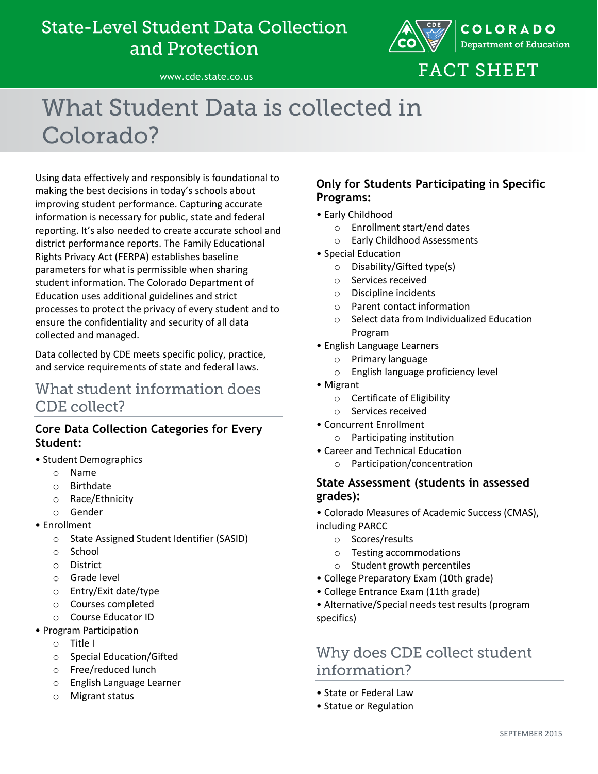## **State-Level Student Data Collection** and Protection



[www.cde.state.co.us](http://www.cde.state.co.us/)

# **FACT SHEET**

# What Student Data is collected in Colorado?

Using data effectively and responsibly is foundational to making the best decisions in today's schools about improving student performance. Capturing accurate information is necessary for public, state and federal reporting. It's also needed to create accurate school and district performance reports. The Family Educational Rights Privacy Act (FERPA) establishes baseline parameters for what is permissible when sharing student information. The Colorado Department of Education uses additional guidelines and strict processes to protect the privacy of every student and to ensure the confidentiality and security of all data collected and managed.

Data collected by CDE meets specific policy, practice, and service requirements of state and federal laws.

### What student information does **CDE** collect?

#### **Core Data Collection Categories for Every Student:**

- Student Demographics
	- o Name
	- o Birthdate
	- o Race/Ethnicity
	- o Gender
- Enrollment
	- o State Assigned Student Identifier (SASID)
	- o School
	- o District
	- o Grade level
	- o Entry/Exit date/type
	- o Courses completed
	- o Course Educator ID
- Program Participation
	- o Title I
	- o Special Education/Gifted
	- o Free/reduced lunch
	- o English Language Learner
	- o Migrant status

#### **Only for Students Participating in Specific Programs:**

- Early Childhood
	- o Enrollment start/end dates
	- o Early Childhood Assessments
- Special Education
	- o Disability/Gifted type(s)
	- o Services received
	- o Discipline incidents
	- o Parent contact information
	- o Select data from Individualized Education Program
- English Language Learners
	- o Primary language
	- o English language proficiency level
- Migrant
	- o Certificate of Eligibility
	- o Services received
- Concurrent Enrollment
	- o Participating institution
- Career and Technical Education
	- o Participation/concentration

#### **State Assessment (students in assessed grades):**

- Colorado Measures of Academic Success (CMAS), including PARCC
	- o Scores/results
	- o Testing accommodations
	- o Student growth percentiles
- College Preparatory Exam (10th grade)
- College Entrance Exam (11th grade)
- Alternative/Special needs test results (program specifics)

### Why does CDE collect student information?

- State or Federal Law
- Statue or Regulation